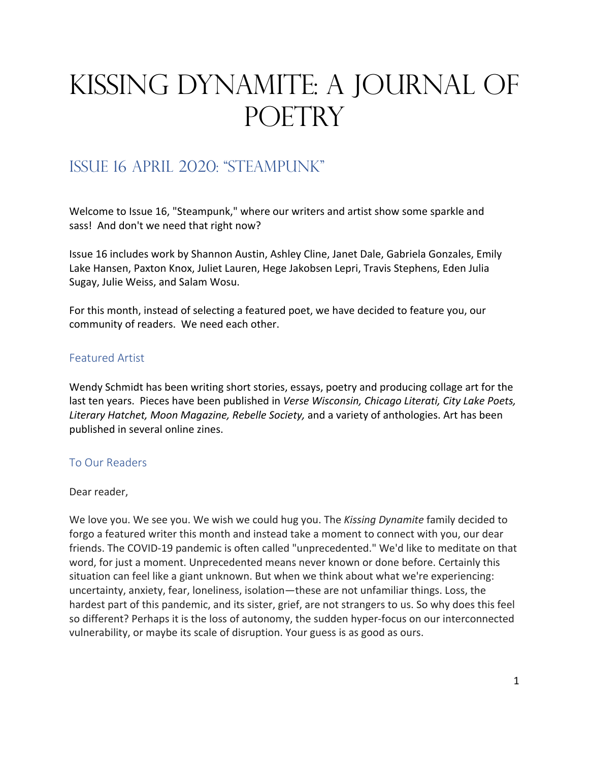# Kissing Dynamite: A Journal of POETRY

# Issue 16 april 2020: "steampunk"

Welcome to Issue 16, "Steampunk," where our writers and artist show some sparkle and sass! And don't we need that right now?

Issue 16 includes work by Shannon Austin, Ashley Cline, Janet Dale, Gabriela Gonzales, Emily Lake Hansen, Paxton Knox, Juliet Lauren, Hege Jakobsen Lepri, Travis Stephens, Eden Julia Sugay, Julie Weiss, and Salam Wosu.

For this month, instead of selecting a featured poet, we have decided to feature you, our community of readers. We need each other.

# Featured Artist

Wendy Schmidt has been writing short stories, essays, poetry and producing collage art for the last ten years. Pieces have been published in *Verse Wisconsin, Chicago Literati, City Lake Poets, Literary Hatchet, Moon Magazine, Rebelle Society,* and a variety of anthologies. Art has been published in several online zines.

#### To Our Readers

#### Dear reader,

We love you. We see you. We wish we could hug you. The *Kissing Dynamite* family decided to forgo a featured writer this month and instead take a moment to connect with you, our dear friends. The COVID-19 pandemic is often called "unprecedented." We'd like to meditate on that word, for just a moment. Unprecedented means never known or done before. Certainly this situation can feel like a giant unknown. But when we think about what we're experiencing: uncertainty, anxiety, fear, loneliness, isolation—these are not unfamiliar things. Loss, the hardest part of this pandemic, and its sister, grief, are not strangers to us. So why does this feel so different? Perhaps it is the loss of autonomy, the sudden hyper-focus on our interconnected vulnerability, or maybe its scale of disruption. Your guess is as good as ours.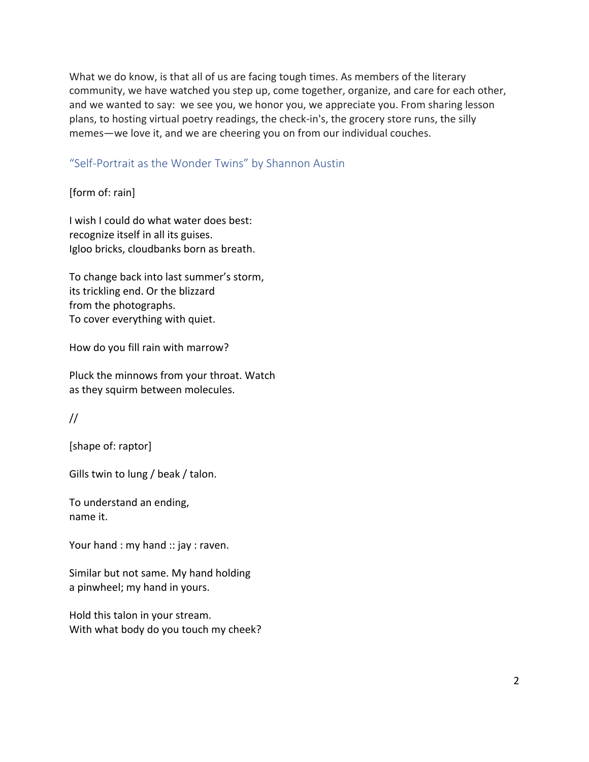What we do know, is that all of us are facing tough times. As members of the literary community, we have watched you step up, come together, organize, and care for each other, and we wanted to say: we see you, we honor you, we appreciate you. From sharing lesson plans, to hosting virtual poetry readings, the check-in's, the grocery store runs, the silly memes—we love it, and we are cheering you on from our individual couches.

#### "Self-Portrait as the Wonder Twins" by Shannon Austin

[form of: rain]

I wish I could do what water does best: recognize itself in all its guises. Igloo bricks, cloudbanks born as breath.

To change back into last summer's storm, its trickling end. Or the blizzard from the photographs. To cover everything with quiet.

How do you fill rain with marrow?

Pluck the minnows from your throat. Watch as they squirm between molecules.

//

[shape of: raptor]

Gills twin to lung / beak / talon.

To understand an ending, name it.

Your hand : my hand :: jay : raven.

Similar but not same. My hand holding a pinwheel; my hand in yours.

Hold this talon in your stream. With what body do you touch my cheek?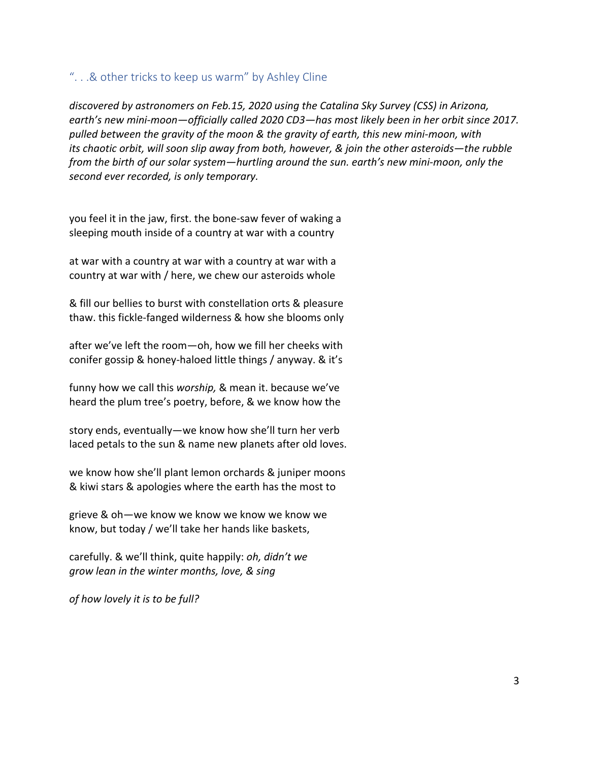#### ". . .& other tricks to keep us warm" by Ashley Cline

*discovered by astronomers on Feb.15, 2020 using the Catalina Sky Survey (CSS) in Arizona, earth's new mini-moon—officially called 2020 CD3—has most likely been in her orbit since 2017. pulled between the gravity of the moon & the gravity of earth, this new mini-moon, with its chaotic orbit, will soon slip away from both, however, & join the other asteroids—the rubble from the birth of our solar system—hurtling around the sun. earth's new mini-moon, only the second ever recorded, is only temporary.*

you feel it in the jaw, first. the bone-saw fever of waking a sleeping mouth inside of a country at war with a country

at war with a country at war with a country at war with a country at war with / here, we chew our asteroids whole

& fill our bellies to burst with constellation orts & pleasure thaw. this fickle-fanged wilderness & how she blooms only

after we've left the room—oh, how we fill her cheeks with conifer gossip & honey-haloed little things / anyway. & it's

funny how we call this *worship,* & mean it. because we've heard the plum tree's poetry, before, & we know how the

story ends, eventually—we know how she'll turn her verb laced petals to the sun & name new planets after old loves.

we know how she'll plant lemon orchards & juniper moons & kiwi stars & apologies where the earth has the most to

grieve & oh—we know we know we know we know we know, but today / we'll take her hands like baskets,

carefully. & we'll think, quite happily: *oh, didn't we grow lean in the winter months, love, & sing*

*of how lovely it is to be full?*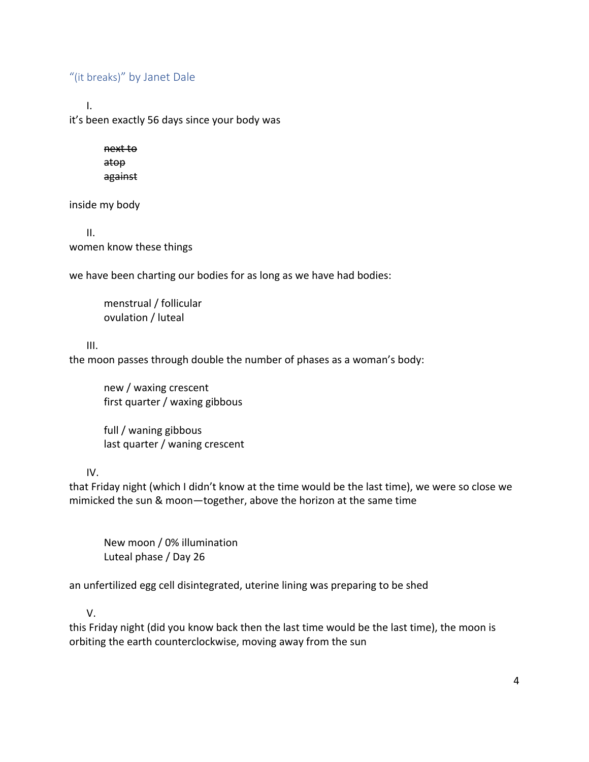# "(it breaks)" by Janet Dale

I.

it's been exactly 56 days since your body was

next to atop against

inside my body

II. women know these things

we have been charting our bodies for as long as we have had bodies:

menstrual / follicular ovulation / luteal

III.

the moon passes through double the number of phases as a woman's body:

new / waxing crescent first quarter / waxing gibbous

full / waning gibbous last quarter / waning crescent

IV.

that Friday night (which I didn't know at the time would be the last time), we were so close we mimicked the sun & moon—together, above the horizon at the same time

New moon / 0% illumination Luteal phase / Day 26

an unfertilized egg cell disintegrated, uterine lining was preparing to be shed

V.

this Friday night (did you know back then the last time would be the last time), the moon is orbiting the earth counterclockwise, moving away from the sun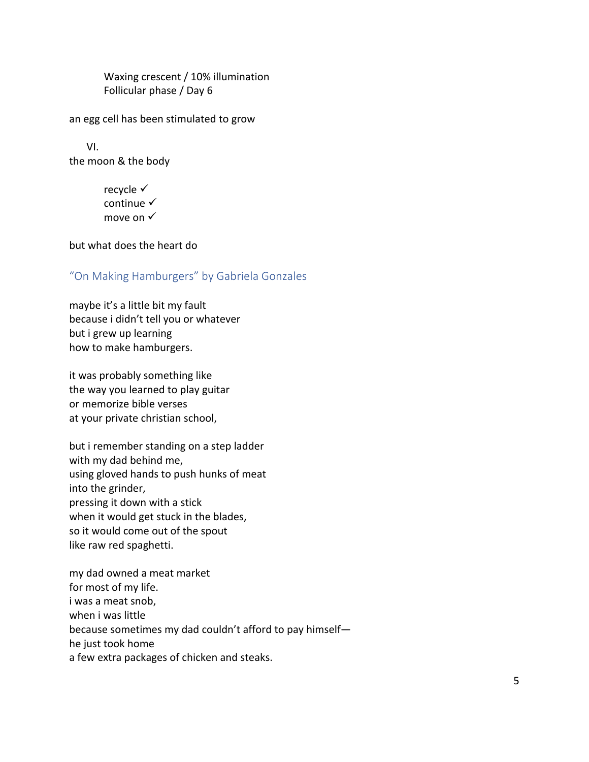Waxing crescent / 10% illumination Follicular phase / Day 6

an egg cell has been stimulated to grow

VI. the moon & the body

> recycle  $\checkmark$ continue  $\checkmark$ move on  $\checkmark$

but what does the heart do

#### "On Making Hamburgers" by Gabriela Gonzales

maybe it's a little bit my fault because i didn't tell you or whatever but i grew up learning how to make hamburgers.

it was probably something like the way you learned to play guitar or memorize bible verses at your private christian school,

but i remember standing on a step ladder with my dad behind me, using gloved hands to push hunks of meat into the grinder, pressing it down with a stick when it would get stuck in the blades, so it would come out of the spout like raw red spaghetti.

my dad owned a meat market for most of my life. i was a meat snob, when i was little because sometimes my dad couldn't afford to pay himself he just took home a few extra packages of chicken and steaks.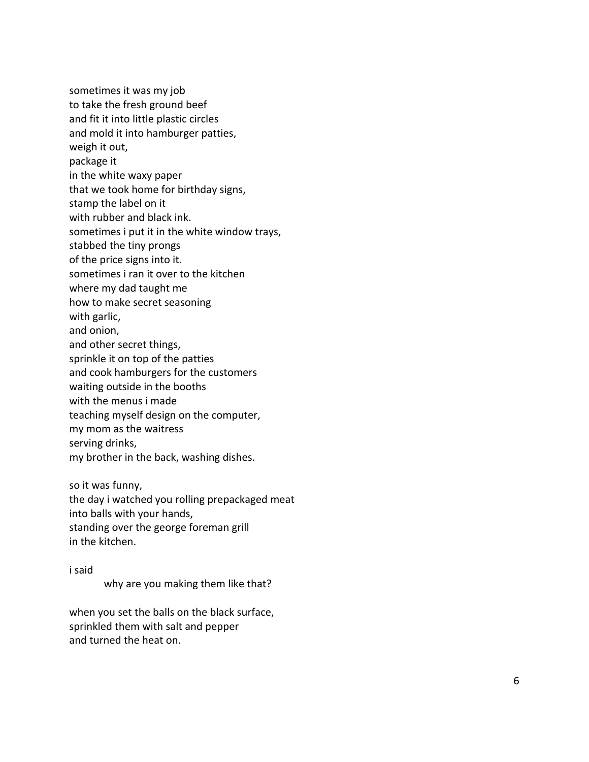sometimes it was my job to take the fresh ground beef and fit it into little plastic circles and mold it into hamburger patties, weigh it out, package it

in the white waxy paper

that we took home for birthday signs,

stamp the label on it

with rubber and black ink.

sometimes i put it in the white window trays,

stabbed the tiny prongs

of the price signs into it.

sometimes i ran it over to the kitchen

where my dad taught me

how to make secret seasoning

with garlic,

and onion,

and other secret things,

sprinkle it on top of the patties

and cook hamburgers for the customers

waiting outside in the booths

with the menus i made

teaching myself design on the computer,

my mom as the waitress

serving drinks,

my brother in the back, washing dishes.

so it was funny,

the day i watched you rolling prepackaged meat into balls with your hands, standing over the george foreman grill in the kitchen.

#### i said

why are you making them like that?

when you set the balls on the black surface, sprinkled them with salt and pepper and turned the heat on.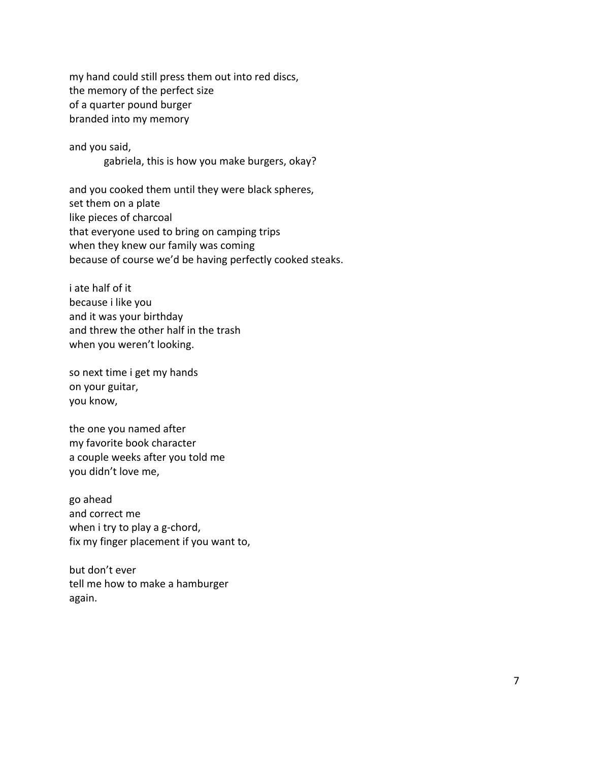my hand could still press them out into red discs, the memory of the perfect size of a quarter pound burger branded into my memory

and you said, gabriela, this is how you make burgers, okay?

and you cooked them until they were black spheres, set them on a plate like pieces of charcoal that everyone used to bring on camping trips when they knew our family was coming because of course we'd be having perfectly cooked steaks.

i ate half of it because i like you and it was your birthday and threw the other half in the trash when you weren't looking.

so next time i get my hands on your guitar, you know,

the one you named after my favorite book character a couple weeks after you told me you didn't love me,

go ahead and correct me when i try to play a g-chord, fix my finger placement if you want to,

but don't ever tell me how to make a hamburger again.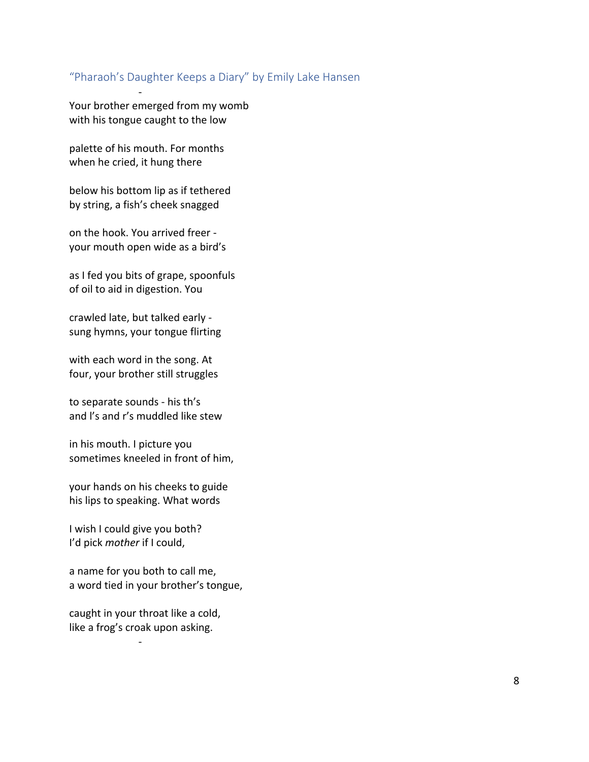#### "Pharaoh's Daughter Keeps a Diary" by Emily Lake Hansen

Your brother emerged from my womb with his tongue caught to the low

palette of his mouth. For months when he cried, it hung there

-

below his bottom lip as if tethered by string, a fish's cheek snagged

on the hook. You arrived freer your mouth open wide as a bird's

as I fed you bits of grape, spoonfuls of oil to aid in digestion. You

crawled late, but talked early sung hymns, your tongue flirting

with each word in the song. At four, your brother still struggles

to separate sounds - his th's and l's and r's muddled like stew

in his mouth. I picture you sometimes kneeled in front of him,

your hands on his cheeks to guide his lips to speaking. What words

I wish I could give you both? I'd pick *mother* if I could,

a name for you both to call me, a word tied in your brother's tongue,

caught in your throat like a cold, like a frog's croak upon asking.

-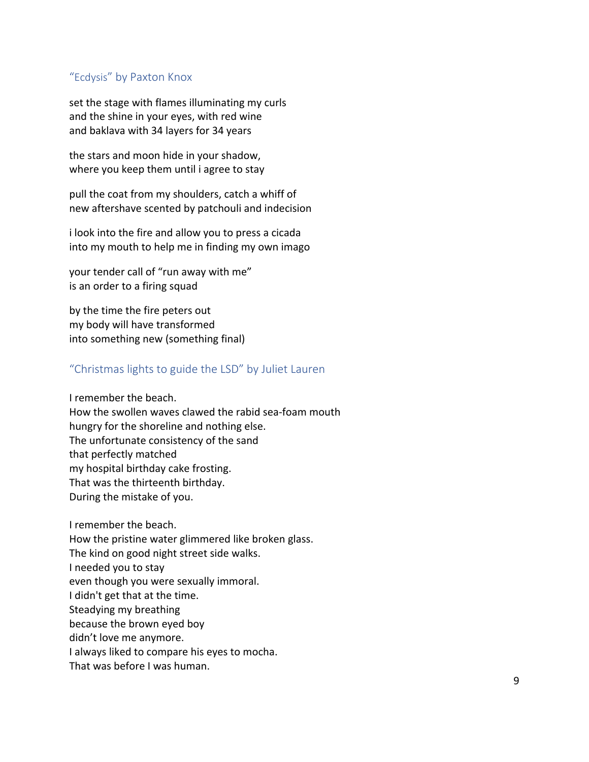#### "Ecdysis" by Paxton Knox

set the stage with flames illuminating my curls and the shine in your eyes, with red wine and baklava with 34 layers for 34 years

the stars and moon hide in your shadow, where you keep them until i agree to stay

pull the coat from my shoulders, catch a whiff of new aftershave scented by patchouli and indecision

i look into the fire and allow you to press a cicada into my mouth to help me in finding my own imago

your tender call of "run away with me" is an order to a firing squad

by the time the fire peters out my body will have transformed into something new (something final)

# "Christmas lights to guide the LSD" by Juliet Lauren

I remember the beach. How the swollen waves clawed the rabid sea-foam mouth hungry for the shoreline and nothing else. The unfortunate consistency of the sand that perfectly matched my hospital birthday cake frosting. That was the thirteenth birthday. During the mistake of you.

I remember the beach.

How the pristine water glimmered like broken glass.

The kind on good night street side walks.

I needed you to stay

even though you were sexually immoral.

I didn't get that at the time.

Steadying my breathing

because the brown eyed boy

didn't love me anymore.

I always liked to compare his eyes to mocha.

That was before I was human.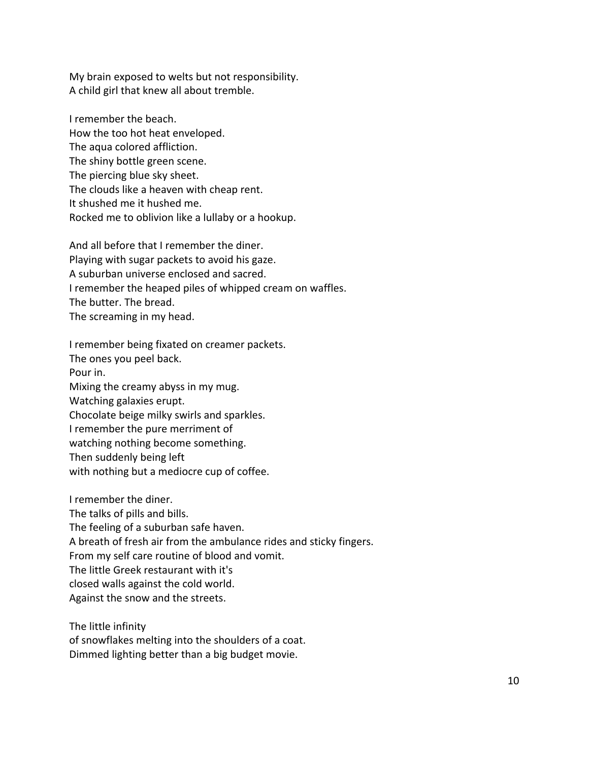My brain exposed to welts but not responsibility. A child girl that knew all about tremble.

I remember the beach. How the too hot heat enveloped. The aqua colored affliction. The shiny bottle green scene. The piercing blue sky sheet. The clouds like a heaven with cheap rent. It shushed me it hushed me. Rocked me to oblivion like a lullaby or a hookup.

And all before that I remember the diner. Playing with sugar packets to avoid his gaze. A suburban universe enclosed and sacred. I remember the heaped piles of whipped cream on waffles. The butter. The bread. The screaming in my head.

I remember being fixated on creamer packets. The ones you peel back. Pour in. Mixing the creamy abyss in my mug. Watching galaxies erupt. Chocolate beige milky swirls and sparkles. I remember the pure merriment of watching nothing become something. Then suddenly being left with nothing but a mediocre cup of coffee.

I remember the diner. The talks of pills and bills. The feeling of a suburban safe haven. A breath of fresh air from the ambulance rides and sticky fingers. From my self care routine of blood and vomit. The little Greek restaurant with it's closed walls against the cold world. Against the snow and the streets.

The little infinity of snowflakes melting into the shoulders of a coat. Dimmed lighting better than a big budget movie.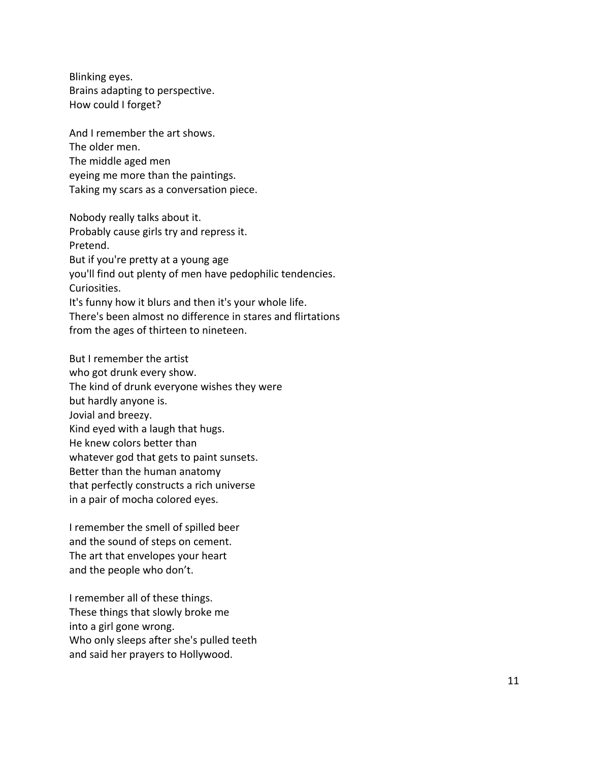Blinking eyes. Brains adapting to perspective. How could I forget?

And I remember the art shows. The older men. The middle aged men eyeing me more than the paintings. Taking my scars as a conversation piece.

Nobody really talks about it. Probably cause girls try and repress it. Pretend. But if you're pretty at a young age you'll find out plenty of men have pedophilic tendencies. Curiosities. It's funny how it blurs and then it's your whole life. There's been almost no difference in stares and flirtations from the ages of thirteen to nineteen.

But I remember the artist who got drunk every show. The kind of drunk everyone wishes they were but hardly anyone is. Jovial and breezy. Kind eyed with a laugh that hugs. He knew colors better than whatever god that gets to paint sunsets. Better than the human anatomy that perfectly constructs a rich universe in a pair of mocha colored eyes.

I remember the smell of spilled beer and the sound of steps on cement. The art that envelopes your heart and the people who don't.

I remember all of these things. These things that slowly broke me into a girl gone wrong. Who only sleeps after she's pulled teeth and said her prayers to Hollywood.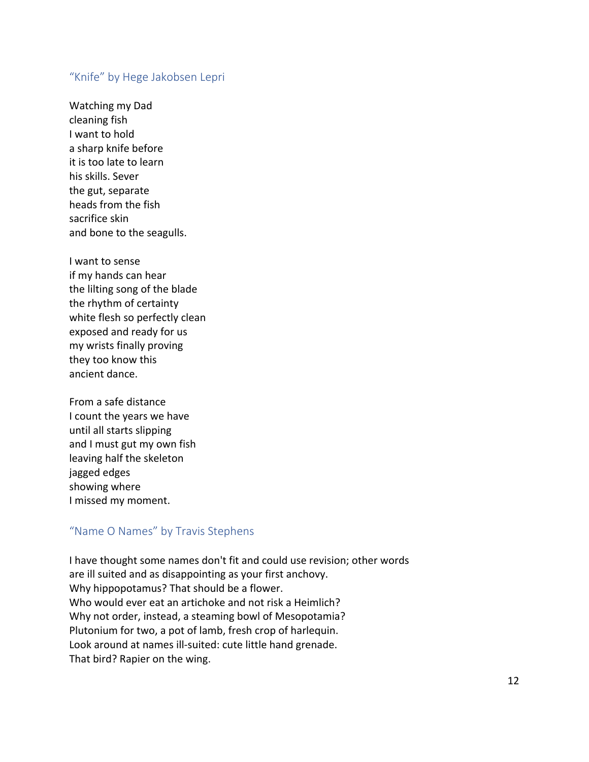#### "Knife" by Hege Jakobsen Lepri

Watching my Dad cleaning fish I want to hold a sharp knife before it is too late to learn his skills. Sever the gut, separate heads from the fish sacrifice skin and bone to the seagulls.

I want to sense if my hands can hear the lilting song of the blade the rhythm of certainty white flesh so perfectly clean exposed and ready for us my wrists finally proving they too know this ancient dance.

From a safe distance I count the years we have until all starts slipping and I must gut my own fish leaving half the skeleton jagged edges showing where I missed my moment.

# "Name O Names" by Travis Stephens

I have thought some names don't fit and could use revision; other words are ill suited and as disappointing as your first anchovy. Why hippopotamus? That should be a flower. Who would ever eat an artichoke and not risk a Heimlich? Why not order, instead, a steaming bowl of Mesopotamia? Plutonium for two, a pot of lamb, fresh crop of harlequin. Look around at names ill-suited: cute little hand grenade. That bird? Rapier on the wing.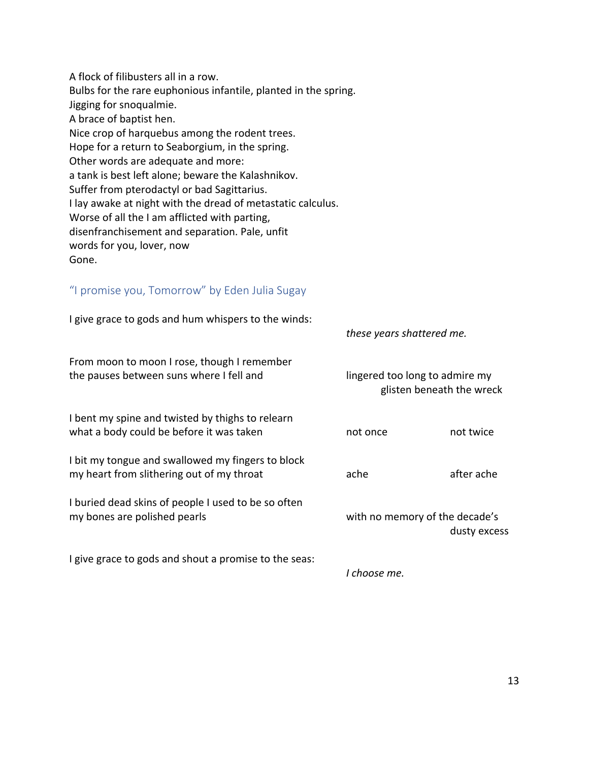A flock of filibusters all in a row. Bulbs for the rare euphonious infantile, planted in the spring. Jigging for snoqualmie. A brace of baptist hen. Nice crop of harquebus among the rodent trees. Hope for a return to Seaborgium, in the spring. Other words are adequate and more: a tank is best left alone; beware the Kalashnikov. Suffer from pterodactyl or bad Sagittarius. I lay awake at night with the dread of metastatic calculus. Worse of all the I am afflicted with parting, disenfranchisement and separation. Pale, unfit words for you, lover, now Gone.

# "I promise you, Tomorrow" by Eden Julia Sugay

| I give grace to gods and hum whispers to the winds:                                            | these years shattered me.                                   |            |
|------------------------------------------------------------------------------------------------|-------------------------------------------------------------|------------|
| From moon to moon I rose, though I remember<br>the pauses between suns where I fell and        | lingered too long to admire my<br>glisten beneath the wreck |            |
| I bent my spine and twisted by thighs to relearn<br>what a body could be before it was taken   | not once                                                    | not twice  |
| I bit my tongue and swallowed my fingers to block<br>my heart from slithering out of my throat | ache                                                        | after ache |
| I buried dead skins of people I used to be so often<br>my bones are polished pearls            | with no memory of the decade's<br>dusty excess              |            |
| I give grace to gods and shout a promise to the seas:                                          |                                                             |            |

*I choose me.*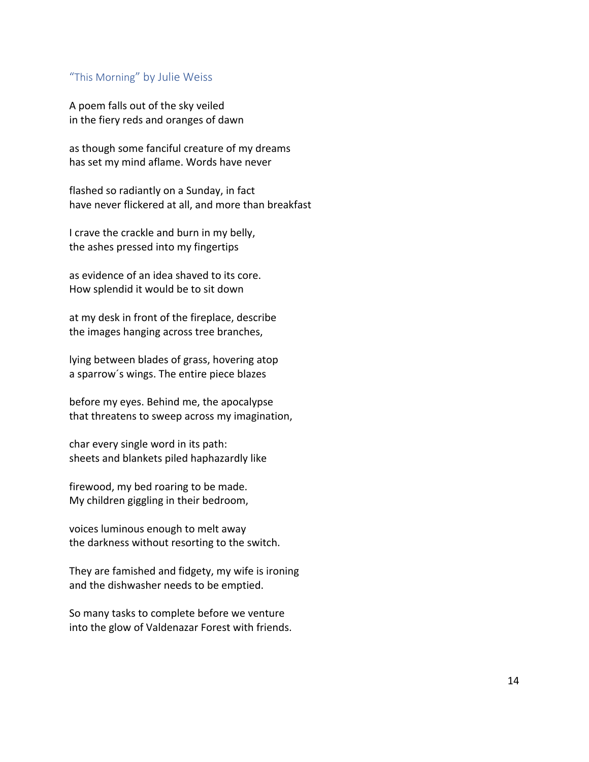#### "This Morning" by Julie Weiss

A poem falls out of the sky veiled in the fiery reds and oranges of dawn

as though some fanciful creature of my dreams has set my mind aflame. Words have never

flashed so radiantly on a Sunday, in fact have never flickered at all, and more than breakfast

I crave the crackle and burn in my belly, the ashes pressed into my fingertips

as evidence of an idea shaved to its core. How splendid it would be to sit down

at my desk in front of the fireplace, describe the images hanging across tree branches,

lying between blades of grass, hovering atop a sparrow´s wings. The entire piece blazes

before my eyes. Behind me, the apocalypse that threatens to sweep across my imagination,

char every single word in its path: sheets and blankets piled haphazardly like

firewood, my bed roaring to be made. My children giggling in their bedroom,

voices luminous enough to melt away the darkness without resorting to the switch.

They are famished and fidgety, my wife is ironing and the dishwasher needs to be emptied.

So many tasks to complete before we venture into the glow of Valdenazar Forest with friends.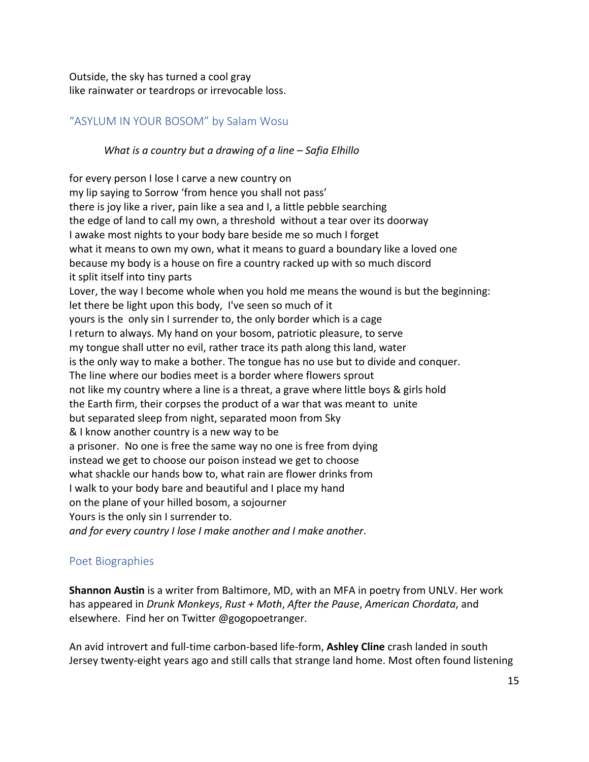Outside, the sky has turned a cool gray like rainwater or teardrops or irrevocable loss.

# "ASYLUM IN YOUR BOSOM" by Salam Wosu

#### *What is a country but a drawing of a line – Safia Elhillo*

for every person I lose I carve a new country on my lip saying to Sorrow 'from hence you shall not pass' there is joy like a river, pain like a sea and I, a little pebble searching the edge of land to call my own, a threshold without a tear over its doorway I awake most nights to your body bare beside me so much I forget what it means to own my own, what it means to guard a boundary like a loved one because my body is a house on fire a country racked up with so much discord it split itself into tiny parts Lover, the way I become whole when you hold me means the wound is but the beginning: let there be light upon this body, I've seen so much of it yours is the only sin I surrender to, the only border which is a cage I return to always. My hand on your bosom, patriotic pleasure, to serve my tongue shall utter no evil, rather trace its path along this land, water is the only way to make a bother. The tongue has no use but to divide and conquer. The line where our bodies meet is a border where flowers sprout not like my country where a line is a threat, a grave where little boys & girls hold the Earth firm, their corpses the product of a war that was meant to unite but separated sleep from night, separated moon from Sky & I know another country is a new way to be a prisoner. No one is free the same way no one is free from dying instead we get to choose our poison instead we get to choose what shackle our hands bow to, what rain are flower drinks from I walk to your body bare and beautiful and I place my hand on the plane of your hilled bosom, a sojourner Yours is the only sin I surrender to. *and for every country I lose I make another and I make another*.

#### Poet Biographies

**Shannon Austin** is a writer from Baltimore, MD, with an MFA in poetry from UNLV. Her work has appeared in *Drunk Monkeys*, *Rust + Moth*, *After the Pause*, *American Chordata*, and elsewhere. Find her on Twitter @gogopoetranger.

An avid introvert and full-time carbon-based life-form, **Ashley Cline** crash landed in south Jersey twenty-eight years ago and still calls that strange land home. Most often found listening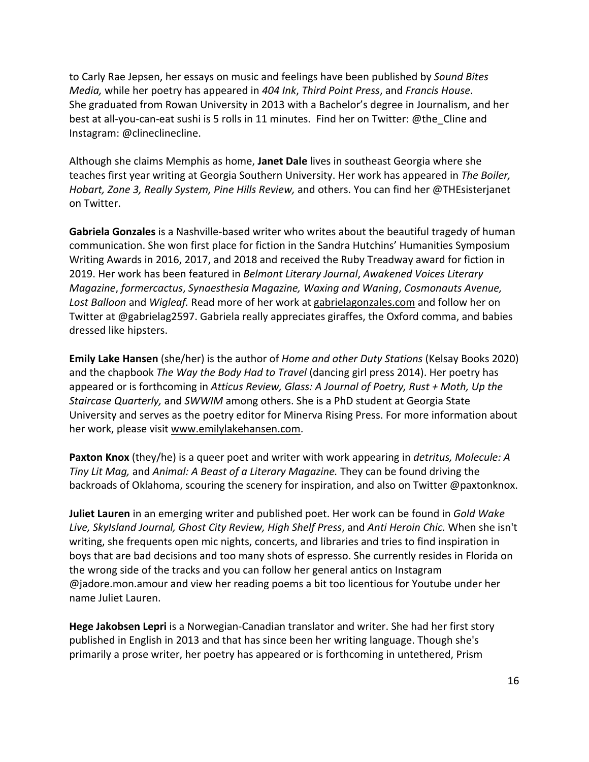to Carly Rae Jepsen, her essays on music and feelings have been published by *Sound Bites Media,* while her poetry has appeared in *404 Ink*, *Third Point Press*, and *Francis House*. She graduated from Rowan University in 2013 with a Bachelor's degree in Journalism, and her best at all-you-can-eat sushi is 5 rolls in 11 minutes. Find her on Twitter: @the\_Cline and Instagram: @clineclinecline.

Although she claims Memphis as home, **Janet Dale** lives in southeast Georgia where she teaches first year writing at Georgia Southern University. Her work has appeared in *The Boiler, Hobart, Zone 3, Really System, Pine Hills Review,* and others. You can find her @THEsisterjanet on Twitter.

**Gabriela Gonzales** is a Nashville-based writer who writes about the beautiful tragedy of human communication. She won first place for fiction in the Sandra Hutchins' Humanities Symposium Writing Awards in 2016, 2017, and 2018 and received the Ruby Treadway award for fiction in 2019. Her work has been featured in *Belmont Literary Journal*, *Awakened Voices Literary Magazine*, *formercactus*, *Synaesthesia Magazine, Waxing and Waning*, *Cosmonauts Avenue, Lost Balloon* and *Wigleaf.* Read more of her work at gabrielagonzales.com and follow her on Twitter at @gabrielag2597. Gabriela really appreciates giraffes, the Oxford comma, and babies dressed like hipsters.

**Emily Lake Hansen** (she/her) is the author of *Home and other Duty Stations* (Kelsay Books 2020) and the chapbook *The Way the Body Had to Travel* (dancing girl press 2014). Her poetry has appeared or is forthcoming in *Atticus Review, Glass: A Journal of Poetry, Rust + Moth, Up the Staircase Quarterly,* and *SWWIM* among others. She is a PhD student at Georgia State University and serves as the poetry editor for Minerva Rising Press. For more information about her work, please visit www.emilylakehansen.com.

**Paxton Knox** (they/he) is a queer poet and writer with work appearing in *detritus, Molecule: A Tiny Lit Mag,* and *Animal: A Beast of a Literary Magazine.* They can be found driving the backroads of Oklahoma, scouring the scenery for inspiration, and also on Twitter @paxtonknox.

**Juliet Lauren** in an emerging writer and published poet. Her work can be found in *Gold Wake Live, SkyIsland Journal, Ghost City Review, High Shelf Press*, and *Anti Heroin Chic.* When she isn't writing, she frequents open mic nights, concerts, and libraries and tries to find inspiration in boys that are bad decisions and too many shots of espresso. She currently resides in Florida on the wrong side of the tracks and you can follow her general antics on Instagram @jadore.mon.amour and view her reading poems a bit too licentious for Youtube under her name Juliet Lauren.

**Hege Jakobsen Lepri** is a Norwegian-Canadian translator and writer. She had her first story published in English in 2013 and that has since been her writing language. Though she's primarily a prose writer, her poetry has appeared or is forthcoming in untethered, Prism